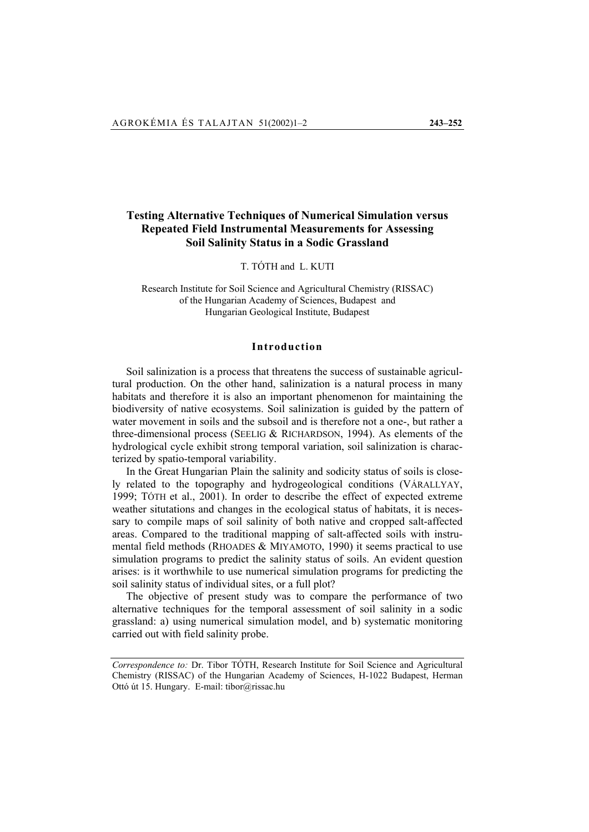# **Testing Alternative Techniques of Numerical Simulation versus Repeated Field Instrumental Measurements for Assessing Soil Salinity Status in a Sodic Grassland**

T. TÓTH and L. KUTI

Research Institute for Soil Science and Agricultural Chemistry (RISSAC) of the Hungarian Academy of Sciences, Budapest and Hungarian Geological Institute, Budapest

# **Introduction**

Soil salinization is a process that threatens the success of sustainable agricultural production. On the other hand, salinization is a natural process in many habitats and therefore it is also an important phenomenon for maintaining the biodiversity of native ecosystems. Soil salinization is guided by the pattern of water movement in soils and the subsoil and is therefore not a one-, but rather a three-dimensional process (SEELIG & RICHARDSON, 1994). As elements of the hydrological cycle exhibit strong temporal variation, soil salinization is characterized by spatio-temporal variability.

In the Great Hungarian Plain the salinity and sodicity status of soils is closely related to the topography and hydrogeological conditions (VÁRALLYAY, 1999; TÓTH et al., 2001). In order to describe the effect of expected extreme weather situtations and changes in the ecological status of habitats, it is necessary to compile maps of soil salinity of both native and cropped salt-affected areas. Compared to the traditional mapping of salt-affected soils with instrumental field methods (RHOADES & MIYAMOTO, 1990) it seems practical to use simulation programs to predict the salinity status of soils. An evident question arises: is it worthwhile to use numerical simulation programs for predicting the soil salinity status of individual sites, or a full plot?

The objective of present study was to compare the performance of two alternative techniques for the temporal assessment of soil salinity in a sodic grassland: a) using numerical simulation model, and b) systematic monitoring carried out with field salinity probe.

*Correspondence to:* Dr. Tibor TÓTH, Research Institute for Soil Science and Agricultural Chemistry (RISSAC) of the Hungarian Academy of Sciences, H-1022 Budapest, Herman Ottó út 15. Hungary. E-mail: tibor@rissac.hu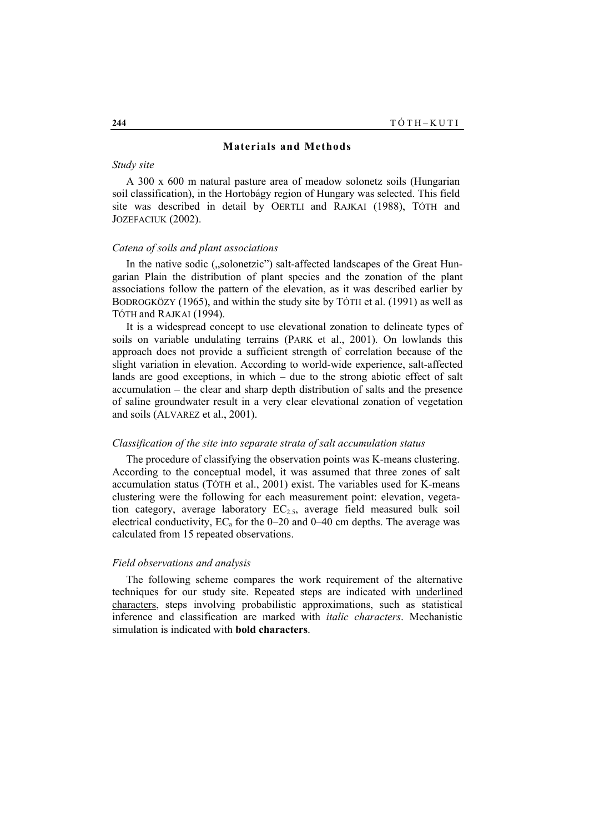#### **Materials and Methods**

# *Study site*

A 300 x 600 m natural pasture area of meadow solonetz soils (Hungarian soil classification), in the Hortobágy region of Hungary was selected. This field site was described in detail by OERTLI and RAJKAI (1988), TÓTH and JOZEFACIUK (2002).

### *Catena of soils and plant associations*

In the native sodic ("solonetzic") salt-affected landscapes of the Great Hungarian Plain the distribution of plant species and the zonation of the plant associations follow the pattern of the elevation, as it was described earlier by BODROGKÖZY (1965), and within the study site by TÓTH et al. (1991) as well as TÓTH and RAJKAI (1994).

It is a widespread concept to use elevational zonation to delineate types of soils on variable undulating terrains (PARK et al., 2001). On lowlands this approach does not provide a sufficient strength of correlation because of the slight variation in elevation. According to world-wide experience, salt-affected lands are good exceptions, in which – due to the strong abiotic effect of salt accumulation – the clear and sharp depth distribution of salts and the presence of saline groundwater result in a very clear elevational zonation of vegetation and soils (ALVAREZ et al., 2001).

#### *Classification of the site into separate strata of salt accumulation status*

The procedure of classifying the observation points was K-means clustering. According to the conceptual model, it was assumed that three zones of salt accumulation status (TÓTH et al., 2001) exist. The variables used for K-means clustering were the following for each measurement point: elevation, vegetation category, average laboratory  $EC_{2.5}$ , average field measured bulk soil electrical conductivity,  $EC_a$  for the 0–20 and 0–40 cm depths. The average was calculated from 15 repeated observations.

#### *Field observations and analysis*

The following scheme compares the work requirement of the alternative techniques for our study site. Repeated steps are indicated with underlined characters, steps involving probabilistic approximations, such as statistical inference and classification are marked with *italic characters*. Mechanistic simulation is indicated with **bold characters**.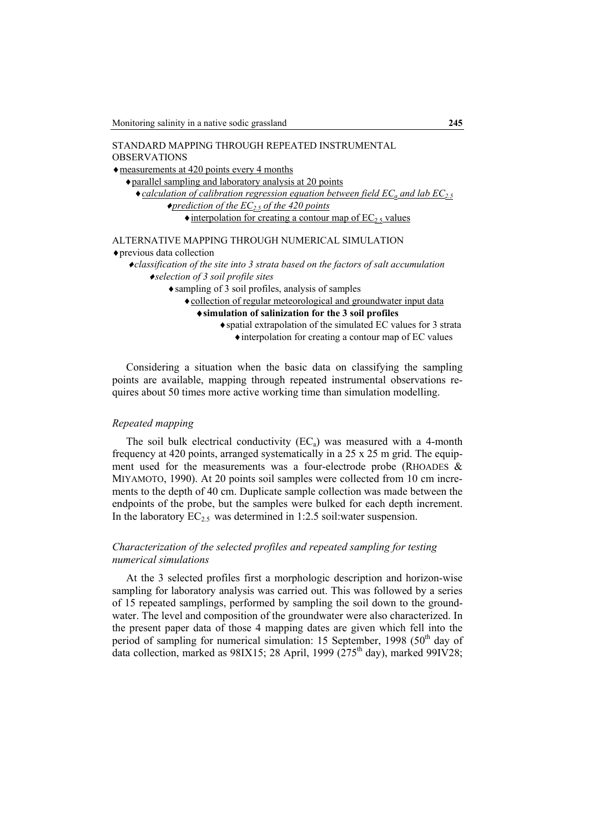| STANDARD MAPPING THROUGH REPEATED INSTRUMENTAL                                                                   |
|------------------------------------------------------------------------------------------------------------------|
| <b>OBSERVATIONS</b>                                                                                              |
| $\triangle$ measurements at 420 points every 4 months                                                            |
| • parallel sampling and laboratory analysis at 20 points                                                         |
| $\bullet$ calculation of calibration regression equation between field EC <sub>a</sub> and lab EC <sub>2.5</sub> |
| $\blacklozenge$ prediction of the EC <sub>2.5</sub> of the 420 points                                            |
| $\triangle$ interpolation for creating a contour map of EC <sub>2.5</sub> values                                 |
|                                                                                                                  |
| ALTERNATIVE MAPPING THROUGH NUMERICAL SIMULATION                                                                 |
| $\bullet$ previous data collection                                                                               |
| ◆classification of the site into 3 strata based on the factors of salt accumulation                              |
| $\bullet$ selection of 3 soil profile sites                                                                      |
| • sampling of 3 soil profiles, analysis of samples                                                               |
| • collection of regular meteorological and groundwater input data                                                |
| $\triangle$ simulation of salinization for the 3 soil profiles                                                   |
| ◆ spatial extrapolation of the simulated EC values for 3 strata                                                  |
| • interpolation for creating a contour map of EC values                                                          |
|                                                                                                                  |

Considering a situation when the basic data on classifying the sampling points are available, mapping through repeated instrumental observations requires about 50 times more active working time than simulation modelling.

# *Repeated mapping*

The soil bulk electrical conductivity  $(EC_a)$  was measured with a 4-month frequency at 420 points, arranged systematically in a 25 x 25 m grid. The equipment used for the measurements was a four-electrode probe (RHOADES & MIYAMOTO, 1990). At 20 points soil samples were collected from 10 cm increments to the depth of 40 cm. Duplicate sample collection was made between the endpoints of the probe, but the samples were bulked for each depth increment. In the laboratory  $EC_{2.5}$  was determined in 1:2.5 soil:water suspension.

# *Characterization of the selected profiles and repeated sampling for testing numerical simulations*

At the 3 selected profiles first a morphologic description and horizon-wise sampling for laboratory analysis was carried out. This was followed by a series of 15 repeated samplings, performed by sampling the soil down to the groundwater. The level and composition of the groundwater were also characterized. In the present paper data of those 4 mapping dates are given which fell into the period of sampling for numerical simulation: 15 September, 1998 (50<sup>th</sup> day of data collection, marked as 98IX15; 28 April, 1999 ( $275<sup>th</sup>$  day), marked 99IV28;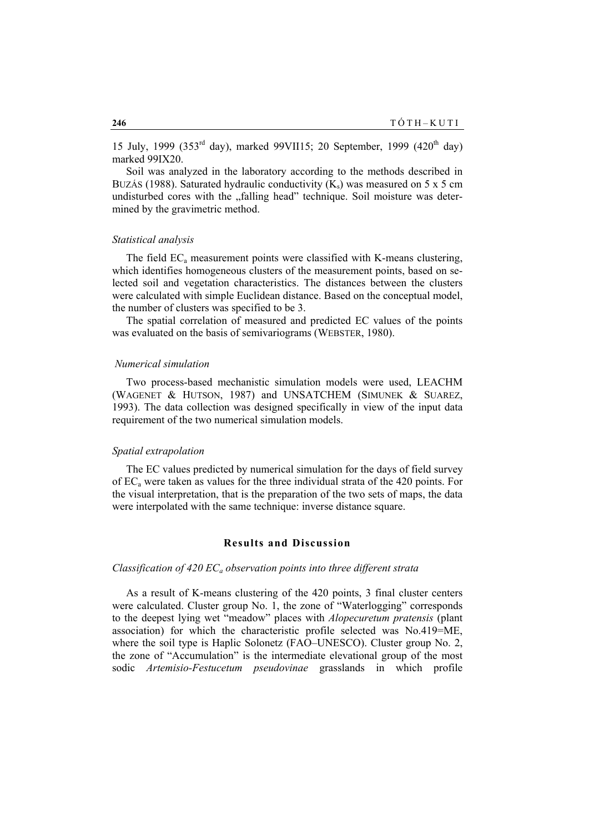15 July, 1999 (353 $^{rd}$  day), marked 99VII15; 20 September, 1999 (420 $^{th}$  day) marked 99IX20.

Soil was analyzed in the laboratory according to the methods described in BUZÁS (1988). Saturated hydraulic conductivity  $(K<sub>s</sub>)$  was measured on 5 x 5 cm undisturbed cores with the "falling head" technique. Soil moisture was determined by the gravimetric method.

# *Statistical analysis*

The field  $EC<sub>a</sub>$  measurement points were classified with K-means clustering, which identifies homogeneous clusters of the measurement points, based on selected soil and vegetation characteristics. The distances between the clusters were calculated with simple Euclidean distance. Based on the conceptual model, the number of clusters was specified to be 3.

The spatial correlation of measured and predicted EC values of the points was evaluated on the basis of semivariograms (WEBSTER, 1980).

## *Numerical simulation*

Two process-based mechanistic simulation models were used, LEACHM (WAGENET & HUTSON, 1987) and UNSATCHEM (SIMUNEK & SUAREZ, 1993). The data collection was designed specifically in view of the input data requirement of the two numerical simulation models.

# *Spatial extrapolation*

The EC values predicted by numerical simulation for the days of field survey of  $EC<sub>a</sub>$  were taken as values for the three individual strata of the 420 points. For the visual interpretation, that is the preparation of the two sets of maps, the data were interpolated with the same technique: inverse distance square.

# **Results and Discussion**

# *Classification of 420 EC<sub>a</sub> observation points into three different strata*

As a result of K-means clustering of the 420 points, 3 final cluster centers were calculated. Cluster group No. 1, the zone of "Waterlogging" corresponds to the deepest lying wet "meadow" places with *Alopecuretum pratensis* (plant association) for which the characteristic profile selected was No.419=ME, where the soil type is Haplic Solonetz (FAO–UNESCO). Cluster group No. 2, the zone of "Accumulation" is the intermediate elevational group of the most sodic *Artemisio-Festucetum pseudovinae* grasslands in which profile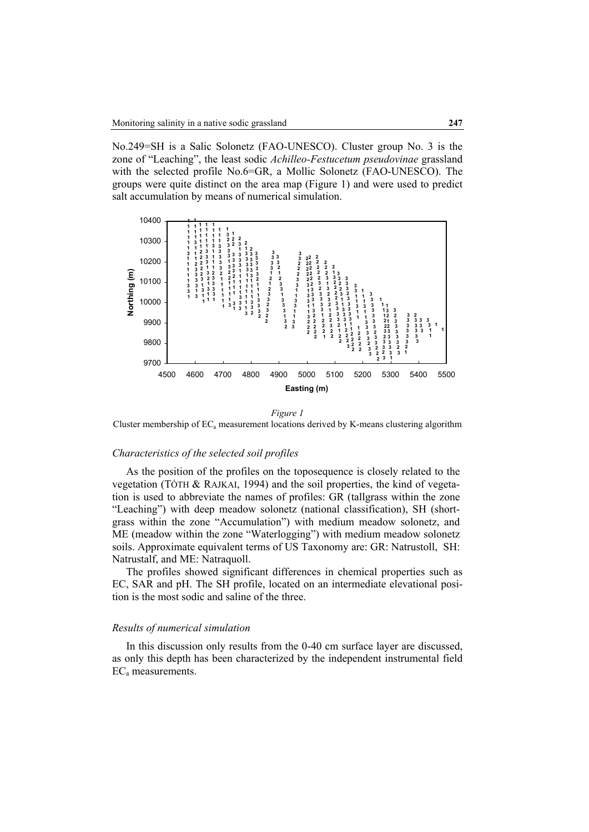No.249=SH is a Salic Solonetz (FAO-UNESCO). Cluster group No. 3 is the zone of "Leaching", the least sodic *Achilleo-Festucetum pseudovinae* grassland with the selected profile No.6=GR, a Mollic Solonetz (FAO-UNESCO). The groups were quite distinct on the area map (Figure 1) and were used to predict salt accumulation by means of numerical simulation.



*Figure 1* 

Cluster membership of  $EC_a$  measurement locations derived by K-means clustering algorithm

#### *Characteristics of the selected soil profiles*

As the position of the profiles on the toposequence is closely related to the vegetation (TÓTH & RAJKAI, 1994) and the soil properties, the kind of vegetation is used to abbreviate the names of profiles: GR (tallgrass within the zone "Leaching") with deep meadow solonetz (national classification), SH (shortgrass within the zone "Accumulation") with medium meadow solonetz, and ME (meadow within the zone "Waterlogging") with medium meadow solonetz soils. Approximate equivalent terms of US Taxonomy are: GR: Natrustoll, SH: Natrustalf, and ME: Natraquoll.

The profiles showed significant differences in chemical properties such as EC, SAR and pH. The SH profile, located on an intermediate elevational position is the most sodic and saline of the three.

### *Results of numerical simulation*

In this discussion only results from the 0-40 cm surface layer are discussed, as only this depth has been characterized by the independent instrumental field ECa measurements.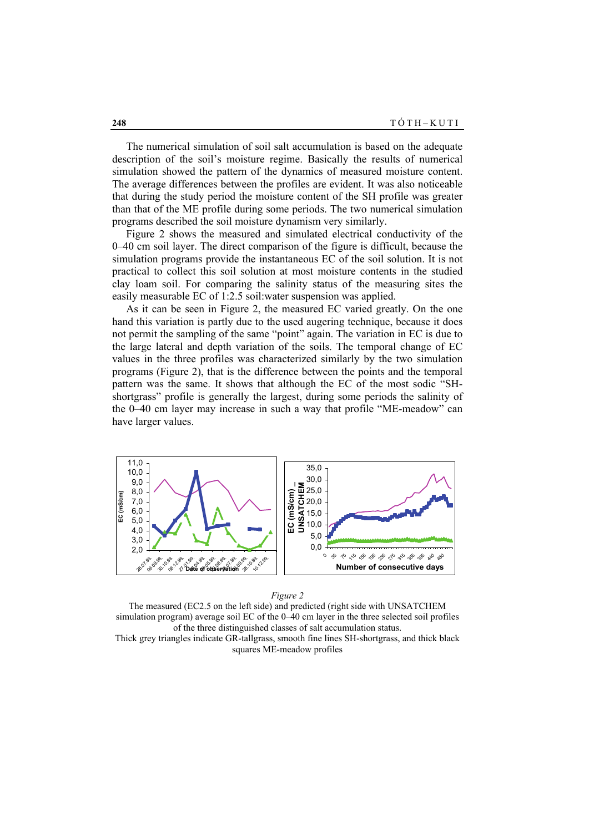The numerical simulation of soil salt accumulation is based on the adequate description of the soil's moisture regime. Basically the results of numerical simulation showed the pattern of the dynamics of measured moisture content. The average differences between the profiles are evident. It was also noticeable that during the study period the moisture content of the SH profile was greater than that of the ME profile during some periods. The two numerical simulation programs described the soil moisture dynamism very similarly.

Figure 2 shows the measured and simulated electrical conductivity of the 0–40 cm soil layer. The direct comparison of the figure is difficult, because the simulation programs provide the instantaneous EC of the soil solution. It is not practical to collect this soil solution at most moisture contents in the studied clay loam soil. For comparing the salinity status of the measuring sites the easily measurable EC of 1:2.5 soil:water suspension was applied.

As it can be seen in Figure 2, the measured EC varied greatly. On the one hand this variation is partly due to the used augering technique, because it does not permit the sampling of the same "point" again. The variation in EC is due to the large lateral and depth variation of the soils. The temporal change of EC values in the three profiles was characterized similarly by the two simulation programs (Figure 2), that is the difference between the points and the temporal pattern was the same. It shows that although the EC of the most sodic "SHshortgrass" profile is generally the largest, during some periods the salinity of the 0–40 cm layer may increase in such a way that profile "ME-meadow" can have larger values.



#### *Figure 2*

The measured (EC2.5 on the left side) and predicted (right side with UNSATCHEM simulation program) average soil EC of the 0–40 cm layer in the three selected soil profiles of the three distinguished classes of salt accumulation status. Thick grey triangles indicate GR-tallgrass, smooth fine lines SH-shortgrass, and thick black squares ME-meadow profiles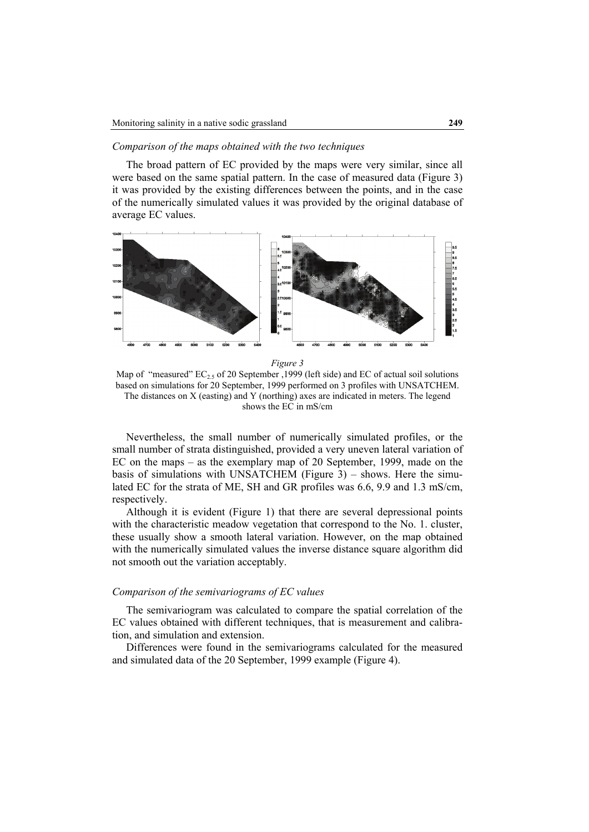# *Comparison of the maps obtained with the two techniques*

The broad pattern of EC provided by the maps were very similar, since all were based on the same spatial pattern. In the case of measured data (Figure 3) it was provided by the existing differences between the points, and in the case of the numerically simulated values it was provided by the original database of average EC values.



*Figure 3* 

Map of "measured"  $EC_2$ , of 20 September ,1999 (left side) and EC of actual soil solutions based on simulations for 20 September, 1999 performed on 3 profiles with UNSATCHEM. The distances on X (easting) and Y (northing) axes are indicated in meters. The legend shows the EC in mS/cm

Nevertheless, the small number of numerically simulated profiles, or the small number of strata distinguished, provided a very uneven lateral variation of EC on the maps – as the exemplary map of 20 September, 1999, made on the basis of simulations with UNSATCHEM (Figure 3) – shows. Here the simulated EC for the strata of ME, SH and GR profiles was 6.6, 9.9 and 1.3 mS/cm, respectively.

Although it is evident (Figure 1) that there are several depressional points with the characteristic meadow vegetation that correspond to the No. 1. cluster, these usually show a smooth lateral variation. However, on the map obtained with the numerically simulated values the inverse distance square algorithm did not smooth out the variation acceptably.

# *Comparison of the semivariograms of EC values*

The semivariogram was calculated to compare the spatial correlation of the EC values obtained with different techniques, that is measurement and calibration, and simulation and extension.

Differences were found in the semivariograms calculated for the measured and simulated data of the 20 September, 1999 example (Figure 4).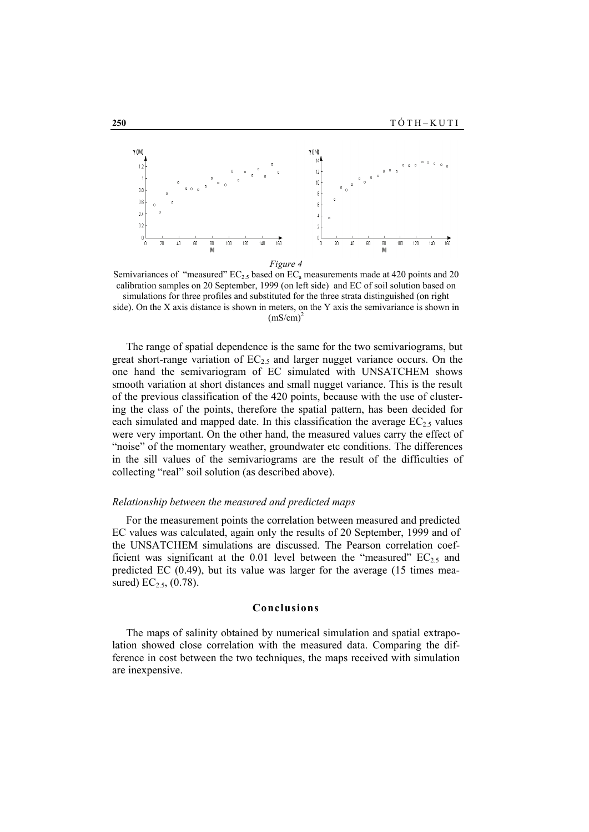

Semivariances of "measured"  $EC_{2.5}$  based on  $EC_a$  measurements made at 420 points and 20 calibration samples on 20 September, 1999 (on left side) and EC of soil solution based on simulations for three profiles and substituted for the three strata distinguished (on right

side). On the X axis distance is shown in meters, on the Y axis the semivariance is shown in  $(mS/cm)^2$ 

The range of spatial dependence is the same for the two semivariograms, but great short-range variation of  $EC_{2.5}$  and larger nugget variance occurs. On the one hand the semivariogram of EC simulated with UNSATCHEM shows smooth variation at short distances and small nugget variance. This is the result of the previous classification of the 420 points, because with the use of clustering the class of the points, therefore the spatial pattern, has been decided for each simulated and mapped date. In this classification the average  $EC_{2.5}$  values were very important. On the other hand, the measured values carry the effect of "noise" of the momentary weather, groundwater etc conditions. The differences in the sill values of the semivariograms are the result of the difficulties of collecting "real" soil solution (as described above).

### *Relationship between the measured and predicted maps*

For the measurement points the correlation between measured and predicted EC values was calculated, again only the results of 20 September, 1999 and of the UNSATCHEM simulations are discussed. The Pearson correlation coefficient was significant at the 0.01 level between the "measured"  $EC_{2.5}$  and predicted EC (0.49), but its value was larger for the average (15 times measured)  $EC_{2.5}$ , (0.78).

## **Conclusions**

The maps of salinity obtained by numerical simulation and spatial extrapolation showed close correlation with the measured data. Comparing the difference in cost between the two techniques, the maps received with simulation are inexpensive.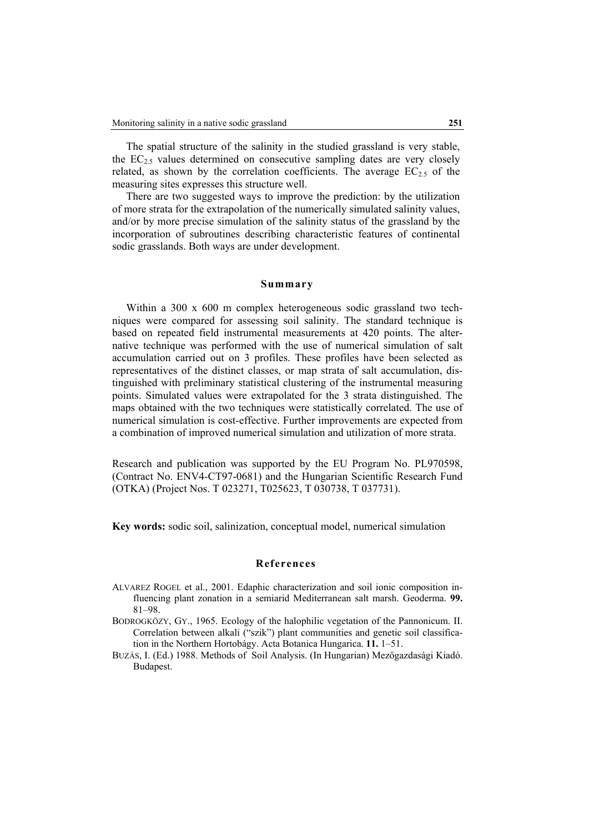The spatial structure of the salinity in the studied grassland is very stable, the  $EC_{2.5}$  values determined on consecutive sampling dates are very closely related, as shown by the correlation coefficients. The average  $EC_{2.5}$  of the measuring sites expresses this structure well.

There are two suggested ways to improve the prediction: by the utilization of more strata for the extrapolation of the numerically simulated salinity values, and/or by more precise simulation of the salinity status of the grassland by the incorporation of subroutines describing characteristic features of continental sodic grasslands. Both ways are under development.

# **Summary**

Within a 300 x 600 m complex heterogeneous sodic grassland two techniques were compared for assessing soil salinity. The standard technique is based on repeated field instrumental measurements at 420 points. The alternative technique was performed with the use of numerical simulation of salt accumulation carried out on 3 profiles. These profiles have been selected as representatives of the distinct classes, or map strata of salt accumulation, distinguished with preliminary statistical clustering of the instrumental measuring points. Simulated values were extrapolated for the 3 strata distinguished. The maps obtained with the two techniques were statistically correlated. The use of numerical simulation is cost-effective. Further improvements are expected from a combination of improved numerical simulation and utilization of more strata.

Research and publication was supported by the EU Program No. PL970598, (Contract No. ENV4-CT97-0681) and the Hungarian Scientific Research Fund (OTKA) (Project Nos. T 023271, T025623, T 030738, T 037731).

**Key words:** sodic soil, salinization, conceptual model, numerical simulation

# **References**

- ALVAREZ ROGEL et al., 2001. Edaphic characterization and soil ionic composition influencing plant zonation in a semiarid Mediterranean salt marsh. Geoderma. **99.** 81–98.
- BODROGKÖZY, GY., 1965. Ecology of the halophilic vegetation of the Pannonicum. II. Correlation between alkali ("szik") plant communities and genetic soil classification in the Northern Hortobágy. Acta Botanica Hungarica. **11.** 1–51.
- BUZÁS, I. (Ed.) 1988. Methods of Soil Analysis. (In Hungarian) Mezőgazdasági Kiadó. Budapest.